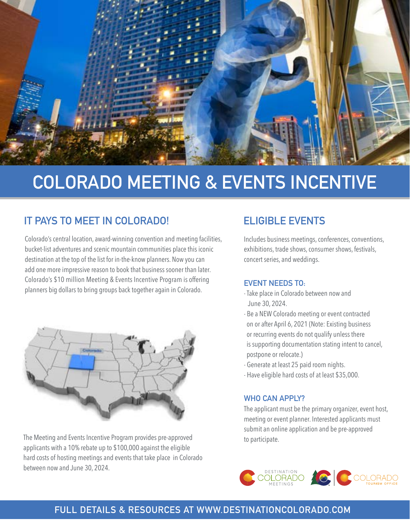

# **COLORADO MEETING & EVENTS INCENTIVE**

# **IT PAYS TO MEET IN COLORADO!** ELIGIBLE EVENTS

Colorado's central location, award-winning convention and meeting facilities, bucket-list adventures and scenic mountain communities place this iconic destination at the top of the list for in-the-know planners. Now you can add one more impressive reason to book that business sooner than later. Colorado's \$10 million Meeting & Events Incentive Program is offering planners big dollars to bring groups back together again in Colorado.



The Meeting and Events Incentive Program provides pre-approved applicants with a 10% rebate up to \$100,000 against the eligible hard costs of hosting meetings and events that take place in Colorado between now and June 30, 2024.

Includes business meetings, conferences, conventions, exhibitions, trade shows, consumer shows, festivals, concert series, and weddings.

#### **EVENT NEEDS TO:**

- Take place in Colorado between now and June 30, 2024.
- Be a NEW Colorado meeting or event contracted on or after April 6, 2021 (Note: Existing business or recurring events do not qualify unless there is supporting documentation stating intent to cancel, postpone or relocate.)
- Generate at least 25 paid room nights.
- Have eligible hard costs of at least \$35,000.

### **WHO CAN APPLY?**

The applicant must be the primary organizer, event host, meeting or event planner. Interested applicants must submit an online application and be pre-approved to participate.



# **FULL DETAILS & RESOURCES AT [WWW.DESTINATIONCOLORADO.COM](https://www.destinationcolorado.com/coloradomeetingincentive/)**